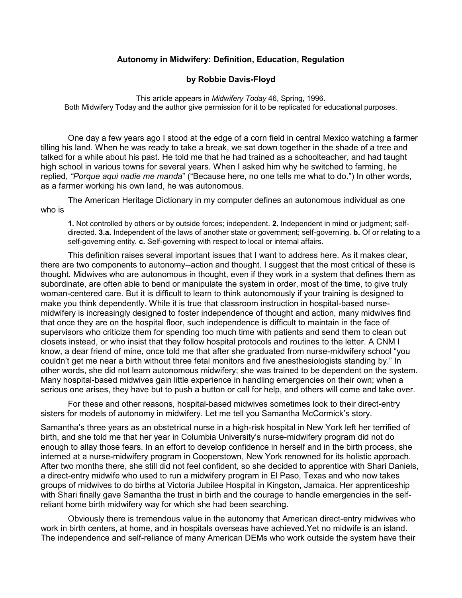## **Autonomy in Midwifery: Definition, Education, Regulation**

## **by Robbie Davis-Floyd**

This article appears in *Midwifery Today* 46, Spring, 1996. Both Midwifery Today and the author give permission for it to be replicated for educational purposes.

 One day a few years ago I stood at the edge of a corn field in central Mexico watching a farmer tilling his land. When he was ready to take a break, we sat down together in the shade of a tree and talked for a while about his past. He told me that he had trained as a schoolteacher, and had taught high school in various towns for several years. When I asked him why he switched to farming, he replied, *"Porque aqui nadie me manda*" ("Because here, no one tells me what to do.") In other words, as a farmer working his own land, he was autonomous.

 The American Heritage Dictionary in my computer defines an autonomous individual as one who is

**1.** Not controlled by others or by outside forces; independent. **2.** Independent in mind or judgment; selfdirected. **3.a.** Independent of the laws of another state or government; self-governing. **b.** Of or relating to a self-governing entity. **c.** Self-governing with respect to local or internal affairs.

 This definition raises several important issues that I want to address here. As it makes clear, there are two components to autonomy--action and thought. I suggest that the most critical of these is thought. Midwives who are autonomous in thought, even if they work in a system that defines them as subordinate, are often able to bend or manipulate the system in order, most of the time, to give truly woman-centered care. But it is difficult to learn to think autonomously if your training is designed to make you think dependently. While it is true that classroom instruction in hospital-based nursemidwifery is increasingly designed to foster independence of thought and action, many midwives find that once they are on the hospital floor, such independence is difficult to maintain in the face of supervisors who criticize them for spending too much time with patients and send them to clean out closets instead, or who insist that they follow hospital protocols and routines to the letter. A CNM I know, a dear friend of mine, once told me that after she graduated from nurse-midwifery school "you couldn't get me near a birth without three fetal monitors and five anesthesiologists standing by." In other words, she did not learn autonomous midwifery; she was trained to be dependent on the system. Many hospital-based midwives gain little experience in handling emergencies on their own; when a serious one arises, they have but to push a button or call for help, and others will come and take over.

 For these and other reasons, hospital-based midwives sometimes look to their direct-entry sisters for models of autonomy in midwifery. Let me tell you Samantha McCormick's story.

Samantha's three years as an obstetrical nurse in a high-risk hospital in New York left her terrified of birth, and she told me that her year in Columbia University's nurse-midwifery program did not do enough to allay those fears. In an effort to develop confidence in herself and in the birth process, she interned at a nurse-midwifery program in Cooperstown, New York renowned for its holistic approach. After two months there, she still did not feel confident, so she decided to apprentice with Shari Daniels, a direct-entry midwife who used to run a midwifery program in El Paso, Texas and who now takes groups of midwives to do births at Victoria Jubilee Hospital in Kingston, Jamaica. Her apprenticeship with Shari finally gave Samantha the trust in birth and the courage to handle emergencies in the selfreliant home birth midwifery way for which she had been searching.

 Obviously there is tremendous value in the autonomy that American direct-entry midwives who work in birth centers, at home, and in hospitals overseas have achieved.Yet no midwife is an island. The independence and self-reliance of many American DEMs who work outside the system have their